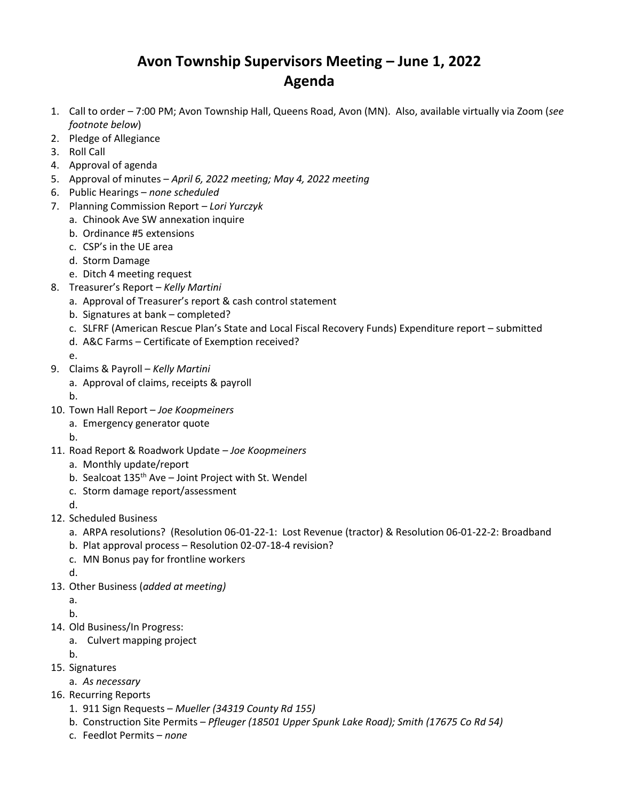## **Avon Township Supervisors Meeting – June 1, 2022 Agenda**

- 1. Call to order 7:00 PM; Avon Township Hall, Queens Road, Avon (MN). Also, available virtually via Zoom (*see footnote below*)
- 2. Pledge of Allegiance
- 3. Roll Call
- 4. Approval of agenda
- 5. Approval of minutes *April 6, 2022 meeting; May 4, 2022 meeting*
- 6. Public Hearings *none scheduled*
- 7. Planning Commission Report *– Lori Yurczyk*
	- a. Chinook Ave SW annexation inquire
	- b. Ordinance #5 extensions
	- c. CSP's in the UE area
	- d. Storm Damage
	- e. Ditch 4 meeting request
- 8. Treasurer's Report *Kelly Martini*
	- a. Approval of Treasurer's report & cash control statement
	- b. Signatures at bank completed?
	- c. SLFRF (American Rescue Plan's State and Local Fiscal Recovery Funds) Expenditure report submitted
	- d. A&C Farms Certificate of Exemption received?
	- e.
- 9. Claims & Payroll *Kelly Martini*
	- a. Approval of claims, receipts & payroll
	- b.
- 10. Town Hall Report *Joe Koopmeiners*
	- a. Emergency generator quote
	- b.
- 11. Road Report & Roadwork Update *Joe Koopmeiners*
	- a. Monthly update/report
	- b. Sealcoat  $135<sup>th</sup>$  Ave Joint Project with St. Wendel
	- c. Storm damage report/assessment
	- d.
- 12. Scheduled Business
	- a. ARPA resolutions? (Resolution 06-01-22-1: Lost Revenue (tractor) & Resolution 06-01-22-2: Broadband
	- b. Plat approval process Resolution 02-07-18-4 revision?
	- c. MN Bonus pay for frontline workers
	- d.
- 13. Other Business (*added at meeting)*
	- a.
	- b.
- 14. Old Business/In Progress:
	- a. Culvert mapping project
	- b.
- 15. Signatures
	- a. *As necessary*
- 16. Recurring Reports
	- 1. 911 Sign Requests *Mueller (34319 County Rd 155)*
	- b. Construction Site Permits *Pfleuger (18501 Upper Spunk Lake Road); Smith (17675 Co Rd 54)*
	- c. Feedlot Permits *none*